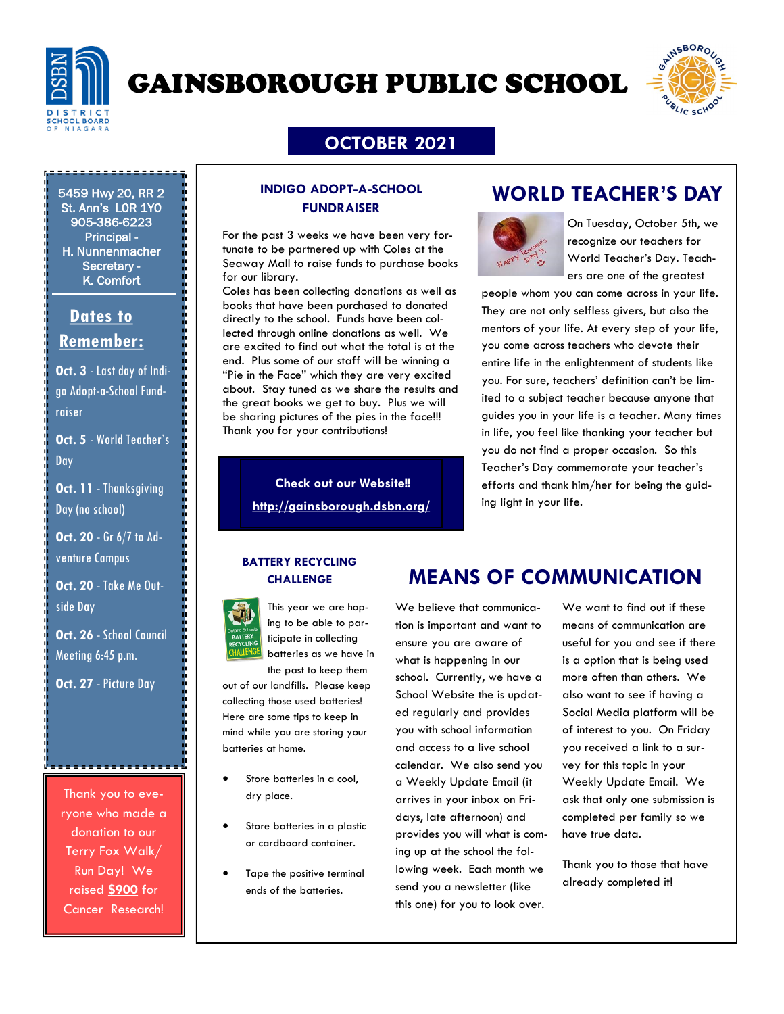

# GAINSBOROUGH PUBLIC SCHOOL



### **OCTOBER 2021**

5459 Hwy 20, RR 2 St. Ann's L0R 1Y0 905-386-6223 Principal - H. Nunnenmacher Secretary - K. Comfort

### **Dates to Remember:**

**Oct. 3** - Last day of Indigo Adopt-a-School Fundraiser

**Oct. 5** - World Teacher's Day

**Oct. 11** - Thanksgiving Day (no school)

**Oct. 20** - Gr 6/7 to Adventure Campus

**Oct. 20** - Take Me Outside Day

**Oct. 26** - School Council Meeting 6:45 p.m.

**Oct. 27 - Picture Day** 

Thank you to everyone who made a donation to our Terry Fox Walk/ Run Day! We raised **\$900** for Cancer Research!

#### **INDIGO ADOPT-A-SCHOOL FUNDRAISER**

For the past 3 weeks we have been very fortunate to be partnered up with Coles at the Seaway Mall to raise funds to purchase books for our library.

Coles has been collecting donations as well as books that have been purchased to donated directly to the school. Funds have been collected through online donations as well. We are excited to find out what the total is at the end. Plus some of our staff will be winning a "Pie in the Face" which they are very excited about. Stay tuned as we share the results and the great books we get to buy. Plus we will be sharing pictures of the pies in the face!!! Thank you for your contributions!

> **Check out our Website!! <http://gainsborough.dsbn.org/>**

### **WORLD TEACHER'S DAY**



On Tuesday, October 5th, we recognize our teachers for World Teacher's Day. Teachers are one of the greatest

people whom you can come across in your life. They are not only selfless givers, but also the mentors of your life. At every step of your life, you come across teachers who devote their entire life in the enlightenment of students like you. For sure, teachers' definition can't be limited to a subject teacher because anyone that guides you in your life is a teacher. Many times in life, you feel like thanking your teacher but you do not find a proper occasion. So this Teacher's Day commemorate your teacher's efforts and thank him/her for being the guiding light in your life.

# **BATTERY RECYCLING**



This year we are hoping to be able to participate in collecting batteries as we have in

the past to keep them out of our landfills. Please keep collecting those used batteries! Here are some tips to keep in mind while you are storing your batteries at home.

- Store batteries in a cool, dry place.
- Store batteries in a plastic or cardboard container.
- Tape the positive terminal ends of the batteries.

## **CHALLENGE MEANS OF COMMUNICATION**

We believe that communication is important and want to ensure you are aware of what is happening in our school. Currently, we have a School Website the is updated regularly and provides you with school information and access to a live school calendar. We also send you a Weekly Update Email (it arrives in your inbox on Fridays, late afternoon) and provides you will what is coming up at the school the following week. Each month we send you a newsletter (like this one) for you to look over.

We want to find out if these means of communication are useful for you and see if there is a option that is being used more often than others. We also want to see if having a Social Media platform will be of interest to you. On Friday you received a link to a survey for this topic in your Weekly Update Email. We ask that only one submission is completed per family so we have true data.

Thank you to those that have already completed it!